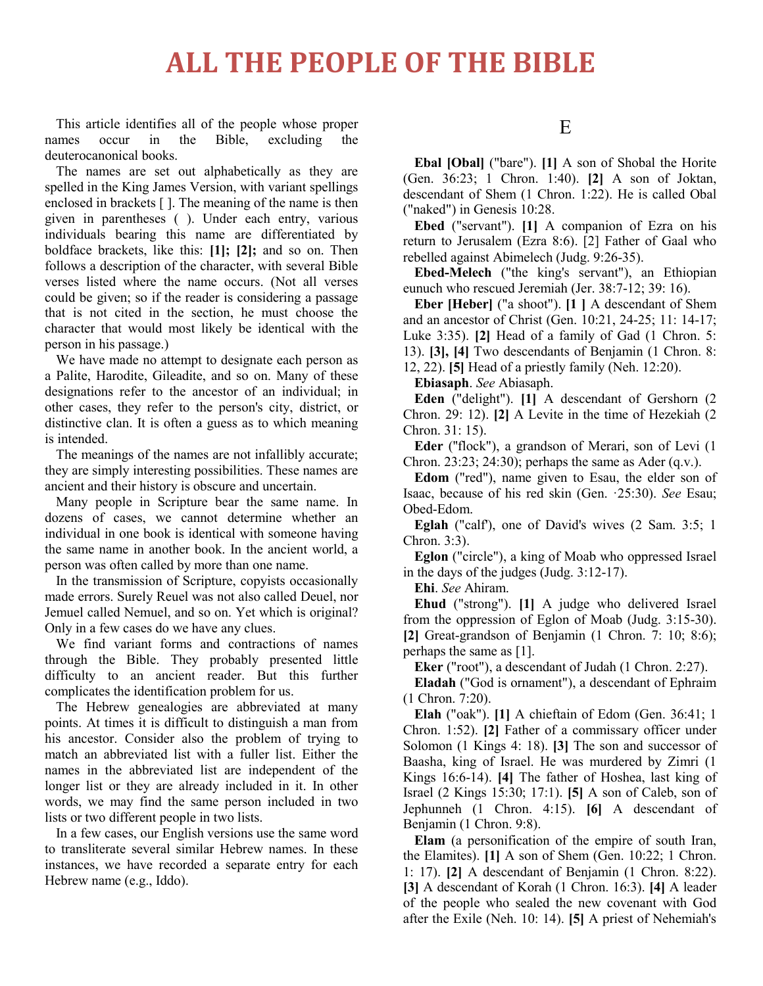This article identifies all of the people whose proper names occur in the Bible, excluding the deuterocanonical books.

The names are set out alphabetically as they are spelled in the King James Version, with variant spellings enclosed in brackets [ ]. The meaning of the name is then given in parentheses ( ). Under each entry, various individuals bearing this name are differentiated by boldface brackets, like this: **[1]; [2];** and so on. Then follows a description of the character, with several Bible verses listed where the name occurs. (Not all verses could be given; so if the reader is considering a passage that is not cited in the section, he must choose the character that would most likely be identical with the person in his passage.)

We have made no attempt to designate each person as a Palite, Harodite, Gileadite, and so on. Many of these designations refer to the ancestor of an individual; in other cases, they refer to the person's city, district, or distinctive clan. It is often a guess as to which meaning is intended.

The meanings of the names are not infallibly accurate; they are simply interesting possibilities. These names are ancient and their history is obscure and uncertain.

Many people in Scripture bear the same name. In dozens of cases, we cannot determine whether an individual in one book is identical with someone having the same name in another book. In the ancient world, a person was often called by more than one name.

In the transmission of Scripture, copyists occasionally made errors. Surely Reuel was not also called Deuel, nor Jemuel called Nemuel, and so on. Yet which is original? Only in a few cases do we have any clues.

We find variant forms and contractions of names through the Bible. They probably presented little difficulty to an ancient reader. But this further complicates the identification problem for us.

The Hebrew genealogies are abbreviated at many points. At times it is difficult to distinguish a man from his ancestor. Consider also the problem of trying to match an abbreviated list with a fuller list. Either the names in the abbreviated list are independent of the longer list or they are already included in it. In other words, we may find the same person included in two lists or two different people in two lists.

In a few cases, our English versions use the same word to transliterate several similar Hebrew names. In these instances, we have recorded a separate entry for each Hebrew name (e.g., Iddo).

#### E

**Ebal [Obal]** ("bare"). **[1]** A son of Shobal the Horite (Gen. 36:23; 1 Chron. 1:40). **[2]** A son of Joktan, descendant of Shem (1 Chron. 1:22). He is called Obal ("naked") in Genesis 10:28.

**Ebed** ("servant"). **[1]** A companion of Ezra on his return to Jerusalem (Ezra 8:6). [2] Father of Gaal who rebelled against Abimelech (Judg. 9:26-35).

**Ebed-Melech** ("the king's servant"), an Ethiopian eunuch who rescued Jeremiah (Jer. 38:7-12; 39: 16).

**Eber [Heber]** ("a shoot"). **[1 ]** A descendant of Shem and an ancestor of Christ (Gen. 10:21, 24-25; 11: 14-17; Luke 3:35). **[2]** Head of a family of Gad (1 Chron. 5: 13). **[3], [4]** Two descendants of Benjamin (1 Chron. 8:

12, 22). **[5]** Head of a priestly family (Neh. 12:20).

**Ebiasaph**. *See* Abiasaph.

**Eden** ("delight"). **[1]** A descendant of Gershorn (2 Chron. 29: 12). **[2]** A Levite in the time of Hezekiah (2 Chron. 31: 15).

**Eder** (''flock"), a grandson of Merari, son of Levi (1 Chron. 23:23; 24:30); perhaps the same as Ader  $(q.v.)$ .

**Edom** ("red"), name given to Esau, the elder son of Isaac, because of his red skin (Gen. ·25:30). *See* Esau; Obed-Edom.

**Eglah** ("calf'), one of David's wives (2 Sam. 3:5; 1 Chron. 3:3).

**Eglon** ("circle"), a king of Moab who oppressed Israel in the days of the judges (Judg. 3:12-17).

**Ehi**. *See* Ahiram.

**Ehud** ("strong"). **[1]** A judge who delivered Israel from the oppression of Eglon of Moab (Judg. 3:15-30). **[2]** Great-grandson of Benjamin (1 Chron. 7: 10; 8:6); perhaps the same as [1].

**Eker** ("root"), a descendant of Judah (1 Chron. 2:27).

**Eladah** ("God is ornament"), a descendant of Ephraim (1 Chron. 7:20).

**Elah** ("oak"). **[1]** A chieftain of Edom (Gen. 36:41; 1 Chron. 1:52). **[2]** Father of a commissary officer under Solomon (1 Kings 4: 18). **[3]** The son and successor of Baasha, king of Israel. He was murdered by Zimri (1 Kings 16:6-14). **[4]** The father of Hoshea, last king of Israel (2 Kings 15:30; 17:1). **[5]** A son of Caleb, son of Jephunneh (1 Chron. 4:15). **[6]** A descendant of Benjamin (1 Chron. 9:8).

**Elam** (a personification of the empire of south Iran, the Elamites). **[1]** A son of Shem (Gen. 10:22; 1 Chron. 1: 17). **[2]** A descendant of Benjamin (1 Chron. 8:22). **[3]** A descendant of Korah (1 Chron. 16:3). **[4]** A leader of the people who sealed the new covenant with God after the Exile (Neh. 10: 14). **[5]** A priest of Nehemiah's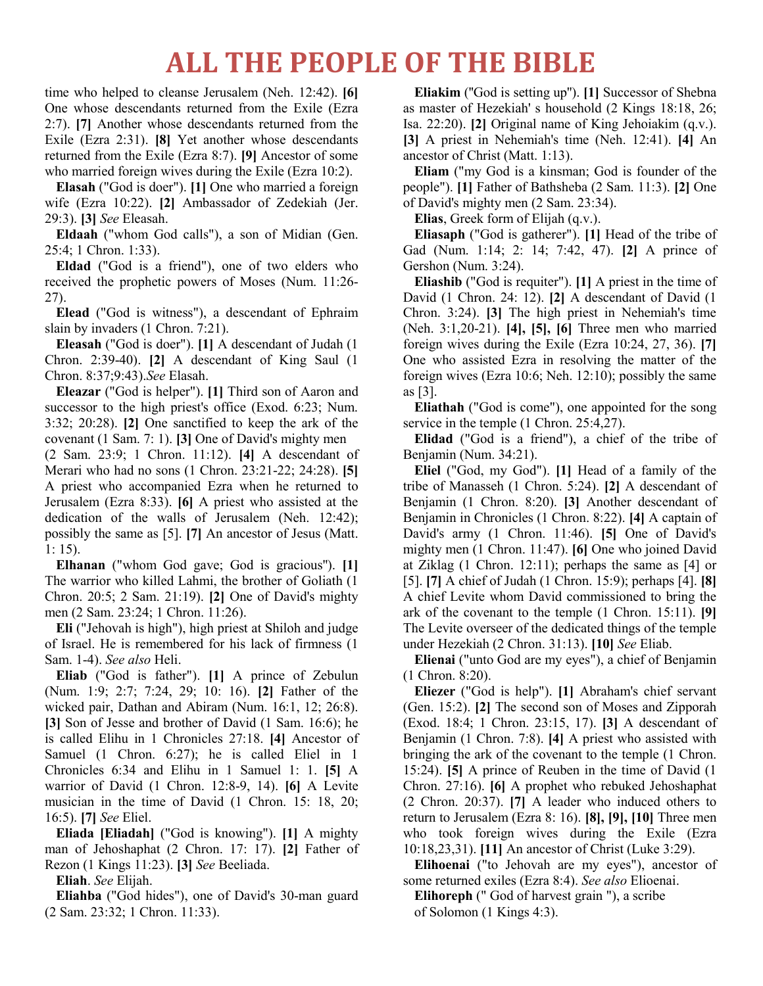time who helped to cleanse Jerusalem (Neh. 12:42). **[6]** One whose descendants returned from the Exile (Ezra 2:7). **[7]** Another whose descendants returned from the Exile (Ezra 2:31). **[8]** Yet another whose descendants returned from the Exile (Ezra 8:7). **[9]** Ancestor of some who married foreign wives during the Exile (Ezra 10:2).

**Elasah** ("God is doer"). **[1]** One who married a foreign wife (Ezra 10:22). **[2]** Ambassador of Zedekiah (Jer. 29:3). **[3]** *See* Eleasah.

**Eldaah** ("whom God calls"), a son of Midian (Gen. 25:4; 1 Chron. 1:33).

**Eldad** ("God is a friend"), one of two elders who received the prophetic powers of Moses (Num. 11:26- 27).

**Elead** ("God is witness"), a descendant of Ephraim slain by invaders (1 Chron. 7:21).

**Eleasah** ("God is doer"). **[1]** A descendant of Judah (1 Chron. 2:39-40). **[2]** A descendant of King Saul (1 Chron. 8:37;9:43).*See* Elasah.

**Eleazar** ("God is helper"). **[1]** Third son of Aaron and successor to the high priest's office (Exod. 6:23; Num. 3:32; 20:28). **[2]** One sanctified to keep the ark of the covenant (1 Sam. 7: 1). **[3]** One of David's mighty men (2 Sam. 23:9; 1 Chron. 11:12). **[4]** A descendant of

Merari who had no sons (1 Chron. 23:21-22; 24:28). **[5]** A priest who accompanied Ezra when he returned to Jerusalem (Ezra 8:33). **[6]** A priest who assisted at the dedication of the walls of Jerusalem (Neh. 12:42); possibly the same as [5]. **[7]** An ancestor of Jesus (Matt. 1: 15).

**Elhanan** ("whom God gave; God is gracious''). **[1]** The warrior who killed Lahmi, the brother of Goliath (1 Chron. 20:5; 2 Sam. 21:19). **[2]** One of David's mighty men (2 Sam. 23:24; 1 Chron. 11:26).

**Eli** ("Jehovah is high"), high priest at Shiloh and judge of Israel. He is remembered for his lack of firmness (1 Sam. 1-4). *See also* Heli.

**Eliab** ("God is father"). **[1]** A prince of Zebulun (Num. 1:9; 2:7; 7:24, 29; 10: 16). **[2]** Father of the wicked pair, Dathan and Abiram (Num. 16:1, 12; 26:8). **[3]** Son of Jesse and brother of David (1 Sam. 16:6); he is called Elihu in 1 Chronicles 27:18. **[4]** Ancestor of Samuel (1 Chron. 6:27); he is called Eliel in 1 Chronicles 6:34 and Elihu in 1 Samuel 1: 1. **[5]** A warrior of David (1 Chron. 12:8-9, 14). **[6]** A Levite musician in the time of David (1 Chron. 15: 18, 20; 16:5). **[7]** *See* Eliel.

**Eliada [Eliadah]** ("God is knowing"). **[1]** A mighty man of Jehoshaphat (2 Chron. 17: 17). **[2]** Father of Rezon (1 Kings 11:23). **[3]** *See* Beeliada.

**Eliah**. *See* Elijah.

**Eliahba** ("God hides"), one of David's 30-man guard (2 Sam. 23:32; 1 Chron. 11:33).

**Eliakim** (''God is setting up''). **[1]** Successor of Shebna as master of Hezekiah' s household (2 Kings 18:18, 26; Isa. 22:20). **[2]** Original name of King Jehoiakim (q.v.). **[3]** A priest in Nehemiah's time (Neh. 12:41). **[4]** An ancestor of Christ (Matt. 1:13).

**Eliam** ("my God is a kinsman; God is founder of the people"). **[1]** Father of Bathsheba (2 Sam. 11:3). **[2]** One of David's mighty men (2 Sam. 23:34).

**Elias**, Greek form of Elijah (q.v.).

**Eliasaph** ("God is gatherer"). **[1]** Head of the tribe of Gad (Num. 1:14; 2: 14; 7:42, 47). **[2]** A prince of Gershon (Num. 3:24).

**Eliashib** ("God is requiter"). **[1]** A priest in the time of David (1 Chron. 24: 12). **[2]** A descendant of David (1 Chron. 3:24). **[3]** The high priest in Nehemiah's time (Neh. 3:1,20-21). **[4], [5], [6]** Three men who married foreign wives during the Exile (Ezra 10:24, 27, 36). **[7]** One who assisted Ezra in resolving the matter of the foreign wives (Ezra 10:6; Neh. 12:10); possibly the same as [3].

**Eliathah** ("God is come"), one appointed for the song service in the temple (1 Chron. 25:4,27).

**Elidad** ("God is a friend"), a chief of the tribe of Benjamin (Num. 34:21).

**Eliel** ("God, my God"). **[1]** Head of a family of the tribe of Manasseh (1 Chron. 5:24). **[2]** A descendant of Benjamin (1 Chron. 8:20). **[3]** Another descendant of Benjamin in Chronicles (1 Chron. 8:22). **[4]** A captain of David's army (1 Chron. 11:46). **[5]** One of David's mighty men (1 Chron. 11:47). **[6]** One who joined David at Ziklag (1 Chron. 12:11); perhaps the same as [4] or [5]. **[7]** A chief of Judah (1 Chron. 15:9); perhaps [4]. **[8]** A chief Levite whom David commissioned to bring the ark of the covenant to the temple (1 Chron. 15:11). **[9]** The Levite overseer of the dedicated things of the temple under Hezekiah (2 Chron. 31:13). **[10]** *See* Eliab.

**Elienai** ("unto God are my eyes"), a chief of Benjamin (1 Chron. 8:20).

**Eliezer** ("God is help"). **[1]** Abraham's chief servant (Gen. 15:2). **[2]** The second son of Moses and Zipporah (Exod. 18:4; 1 Chron. 23:15, 17). **[3]** A descendant of Benjamin (1 Chron. 7:8). **[4]** A priest who assisted with bringing the ark of the covenant to the temple (1 Chron. 15:24). **[5]** A prince of Reuben in the time of David (1 Chron. 27:16). **[6]** A prophet who rebuked Jehoshaphat (2 Chron. 20:37). **[7]** A leader who induced others to return to Jerusalem (Ezra 8: 16). **[8], [9], [10]** Three men who took foreign wives during the Exile (Ezra 10:18,23,31). **[11]** An ancestor of Christ (Luke 3:29).

**Elihoenai** ("to Jehovah are my eyes"), ancestor of some returned exiles (Ezra 8:4). *See also* Elioenai.

**Elihoreph** (" God of harvest grain "), a scribe

of Solomon (1 Kings 4:3).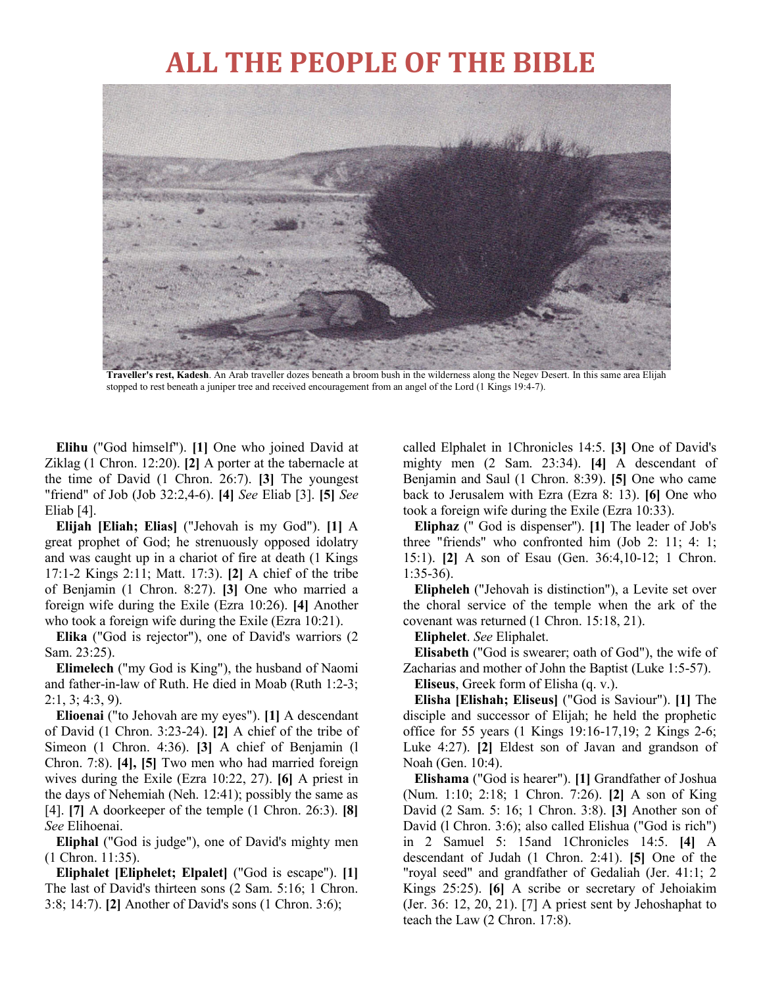

**Traveller's rest, Kadesh**. An Arab traveller dozes beneath a broom bush in the wilderness along the Negev Desert. In this same area Elijah stopped to rest beneath a juniper tree and received encouragement from an angel of the Lord (1 Kings 19:4-7).

**Elihu** ("God himself"). **[1]** One who joined David at Ziklag (1 Chron. 12:20). **[2]** A porter at the tabernacle at the time of David (1 Chron. 26:7). **[3]** The youngest "friend" of Job (Job 32:2,4-6). **[4]** *See* Eliab [3]. **[5]** *See* Eliab [4].

**Elijah [Eliah; Elias]** ("Jehovah is my God"). **[1]** A great prophet of God; he strenuously opposed idolatry and was caught up in a chariot of fire at death (1 Kings 17:1-2 Kings 2:11; Matt. 17:3). **[2]** A chief of the tribe of Benjamin (1 Chron. 8:27). **[3]** One who married a foreign wife during the Exile (Ezra 10:26). **[4]** Another who took a foreign wife during the Exile (Ezra 10:21).

**Elika** ("God is rejector"), one of David's warriors (2 Sam. 23:25).

**Elimelech** ("my God is King"), the husband of Naomi and father-in-law of Ruth. He died in Moab (Ruth 1:2-3;  $2:1, 3; 4:3, 9$ ).

**Elioenai** ("to Jehovah are my eyes"). **[1]** A descendant of David (1 Chron. 3:23-24). **[2]** A chief of the tribe of Simeon (1 Chron. 4:36). **[3]** A chief of Benjamin (l Chron. 7:8). **[4], [5]** Two men who had married foreign wives during the Exile (Ezra 10:22, 27). **[6]** A priest in the days of Nehemiah (Neh. 12:41); possibly the same as [4]. **[7]** A doorkeeper of the temple (1 Chron. 26:3). **[8]** *See* Elihoenai.

**Eliphal** ("God is judge"), one of David's mighty men (1 Chron. 11:35).

**Eliphalet [Eliphelet; Elpalet]** ("God is escape"). **[1]** The last of David's thirteen sons (2 Sam. 5:16; 1 Chron. 3:8; 14:7). **[2]** Another of David's sons (1 Chron. 3:6);

called Elphalet in 1Chronicles 14:5. **[3]** One of David's mighty men (2 Sam. 23:34). **[4]** A descendant of Benjamin and Saul (1 Chron. 8:39). **[5]** One who came back to Jerusalem with Ezra (Ezra 8: 13). **[6]** One who took a foreign wife during the Exile (Ezra 10:33).

**Eliphaz** (" God is dispenser''). **[1]** The leader of Job's three "friends" who confronted him (Job 2: 11; 4: 1; 15:1). **[2]** A son of Esau (Gen. 36:4,10-12; 1 Chron. 1:35-36).

**Elipheleh** ("Jehovah is distinction"), a Levite set over the choral service of the temple when the ark of the covenant was returned (1 Chron. 15:18, 21).

**Eliphelet**. *See* Eliphalet.

**Elisabeth** ("God is swearer; oath of God"), the wife of Zacharias and mother of John the Baptist (Luke 1:5-57).

**Eliseus**, Greek form of Elisha (q. v.).

**Elisha [Elishah; Eliseus]** ("God is Saviour"). **[1]** The disciple and successor of Elijah; he held the prophetic office for 55 years (1 Kings 19:16-17,19; 2 Kings 2-6; Luke 4:27). **[2]** Eldest son of Javan and grandson of Noah (Gen. 10:4).

**Elishama** ("God is hearer"). **[1]** Grandfather of Joshua (Num. 1:10; 2:18; 1 Chron. 7:26). **[2]** A son of King David (2 Sam. 5: 16; 1 Chron. 3:8). **[3]** Another son of David (l Chron. 3:6); also called Elishua ("God is rich") in 2 Samuel 5: 15and 1Chronicles 14:5. **[4]** A descendant of Judah (1 Chron. 2:41). **[5]** One of the "royal seed" and grandfather of Gedaliah (Jer. 41:1; 2 Kings 25:25). **[6]** A scribe or secretary of Jehoiakim (Jer. 36: 12, 20, 21). [7] A priest sent by Jehoshaphat to teach the Law (2 Chron. 17:8).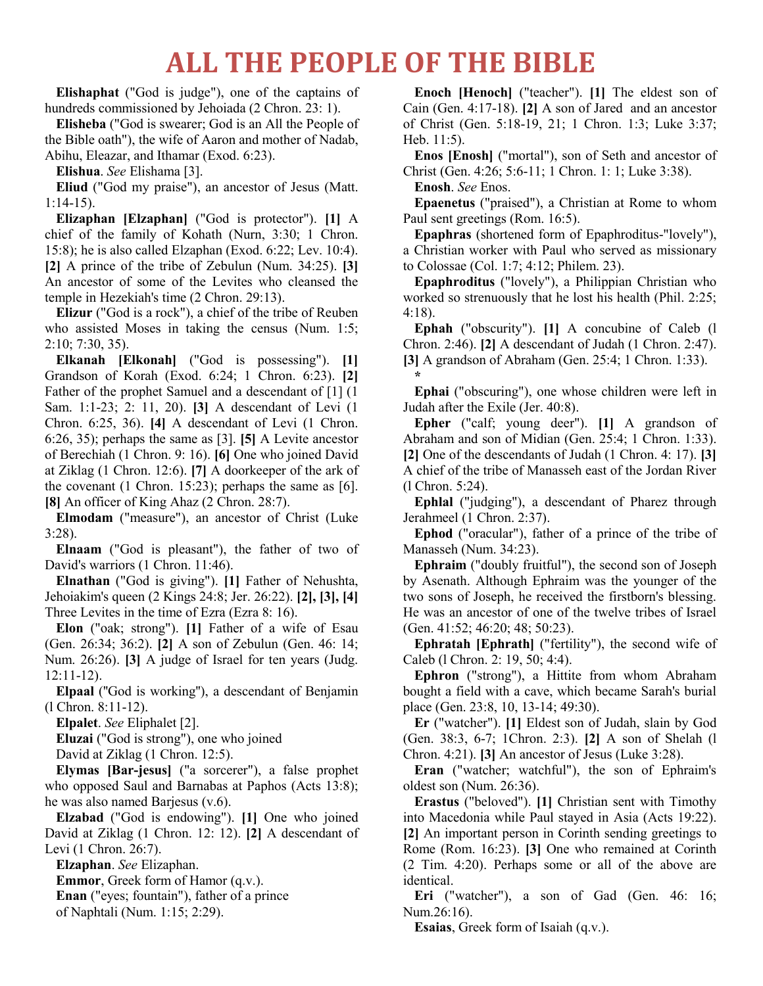**Elishaphat** ("God is judge"), one of the captains of hundreds commissioned by Jehoiada (2 Chron. 23: 1).

**Elisheba** ("God is swearer; God is an All the People of the Bible oath"), the wife of Aaron and mother of Nadab, Abihu, Eleazar, and Ithamar (Exod. 6:23).

**Elishua**. *See* Elishama [3].

**Eliud** ("God my praise"), an ancestor of Jesus (Matt. 1:14-15).

**Elizaphan [Elzaphan]** ("God is protector"). **[1]** A chief of the family of Kohath (Nurn, 3:30; 1 Chron. 15:8); he is also called Elzaphan (Exod. 6:22; Lev. 10:4). **[2]** A prince of the tribe of Zebulun (Num. 34:25). **[3]** An ancestor of some of the Levites who cleansed the temple in Hezekiah's time (2 Chron. 29:13).

**Elizur** ("God is a rock"), a chief of the tribe of Reuben who assisted Moses in taking the census (Num. 1:5; 2:10; 7:30, 35).

**Elkanah [Elkonah]** ("God is possessing"). **[1]** Grandson of Korah (Exod. 6:24; 1 Chron. 6:23). **[2]** Father of the prophet Samuel and a descendant of [1] (1 Sam. 1:1-23; 2: 11, 20). **[3]** A descendant of Levi (1 Chron. 6:25, 36). **[4]** A descendant of Levi (1 Chron. 6:26, 35); perhaps the same as [3]. **[5]** A Levite ancestor of Berechiah (1 Chron. 9: 16). **[6]** One who joined David at Ziklag (1 Chron. 12:6). **[7]** A doorkeeper of the ark of the covenant  $(1 \text{ Chron. } 15:23)$ ; perhaps the same as [6]. **[8]** An officer of King Ahaz (2 Chron. 28:7).

**Elmodam** ("measure"), an ancestor of Christ (Luke 3:28).

**Elnaam** ("God is pleasant"), the father of two of David's warriors (1 Chron. 11:46).

**Elnathan** ("God is giving"). **[1]** Father of Nehushta, Jehoiakim's queen (2 Kings 24:8; Jer. 26:22). **[2], [3], [4]** Three Levites in the time of Ezra (Ezra 8: 16).

**Elon** ("oak; strong"). **[1]** Father of a wife of Esau (Gen. 26:34; 36:2). **[2]** A son of Zebulun (Gen. 46: 14; Num. 26:26). **[3]** A judge of Israel for ten years (Judg. 12:11-12).

**Elpaal** (''God is working''), a descendant of Benjamin (l Chron. 8:11-12).

**Elpalet**. *See* Eliphalet [2].

**Eluzai** ("God is strong"), one who joined

David at Ziklag (1 Chron. 12:5).

**Elymas [Bar-jesus]** ("a sorcerer"), a false prophet who opposed Saul and Barnabas at Paphos (Acts 13:8); he was also named Barjesus (v.6).

**Elzabad** ("God is endowing"). **[1]** One who joined David at Ziklag (1 Chron. 12: 12). **[2]** A descendant of Levi (1 Chron. 26:7).

**Elzaphan**. *See* Elizaphan.

**Emmor**, Greek form of Hamor (q.v.).

**Enan** ("eyes; fountain"), father of a prince

of Naphtali (Num. 1:15; 2:29).

**Enoch [Henoch]** ("teacher"). **[1]** The eldest son of Cain (Gen. 4:17-18). **[2]** A son of Jared and an ancestor of Christ (Gen. 5:18-19, 21; 1 Chron. 1:3; Luke 3:37; Heb. 11:5).

**Enos [Enosh]** ("mortal"), son of Seth and ancestor of Christ (Gen. 4:26; 5:6-11; 1 Chron. 1: 1; Luke 3:38).

**Enosh**. *See* Enos.

**Epaenetus** ("praised"), a Christian at Rome to whom Paul sent greetings (Rom. 16:5).

**Epaphras** (shortened form of Epaphroditus-"lovely"), a Christian worker with Paul who served as missionary to Colossae (Col. 1:7; 4:12; Philem. 23).

**Epaphroditus** ("lovely"), a Philippian Christian who worked so strenuously that he lost his health (Phil. 2:25; 4:18).

**Ephah** ("obscurity"). **[1]** A concubine of Caleb (l Chron. 2:46). **[2]** A descendant of Judah (1 Chron. 2:47). **[3]** A grandson of Abraham (Gen. 25:4; 1 Chron. 1:33). **\***

**Ephai** ("obscuring"), one whose children were left in Judah after the Exile (Jer. 40:8).

**Epher** ("calf; young deer"). **[1]** A grandson of Abraham and son of Midian (Gen. 25:4; 1 Chron. 1:33). **[2]** One of the descendants of Judah (1 Chron. 4: 17). **[3]** A chief of the tribe of Manasseh east of the Jordan River (l Chron. 5:24).

**Ephlal** ("judging"), a descendant of Pharez through Jerahmeel (1 Chron. 2:37).

**Ephod** ("oracular"), father of a prince of the tribe of Manasseh (Num. 34:23).

**Ephraim** ("doubly fruitful"), the second son of Joseph by Asenath. Although Ephraim was the younger of the two sons of Joseph, he received the firstborn's blessing. He was an ancestor of one of the twelve tribes of Israel (Gen. 41:52; 46:20; 48; 50:23).

**Ephratah [Ephrath]** ("fertility"), the second wife of Caleb (l Chron. 2: 19, 50; 4:4).

**Ephron** ("strong"), a Hittite from whom Abraham bought a field with a cave, which became Sarah's burial place (Gen. 23:8, 10, 13-14; 49:30).

**Er** ("watcher"). **[1]** Eldest son of Judah, slain by God (Gen. 38:3, 6-7; 1Chron. 2:3). **[2]** A son of Shelah (l Chron. 4:21). **[3]** An ancestor of Jesus (Luke 3:28).

**Eran** ("watcher; watchful"), the son of Ephraim's oldest son (Num. 26:36).

**Erastus** ("beloved"). **[1]** Christian sent with Timothy into Macedonia while Paul stayed in Asia (Acts 19:22). **[2]** An important person in Corinth sending greetings to Rome (Rom. 16:23). **[3]** One who remained at Corinth (2 Tim. 4:20). Perhaps some or all of the above are identical.

**Eri** ("watcher"), a son of Gad (Gen. 46: 16; Num.26:16).

**Esaias**, Greek form of Isaiah (q.v.).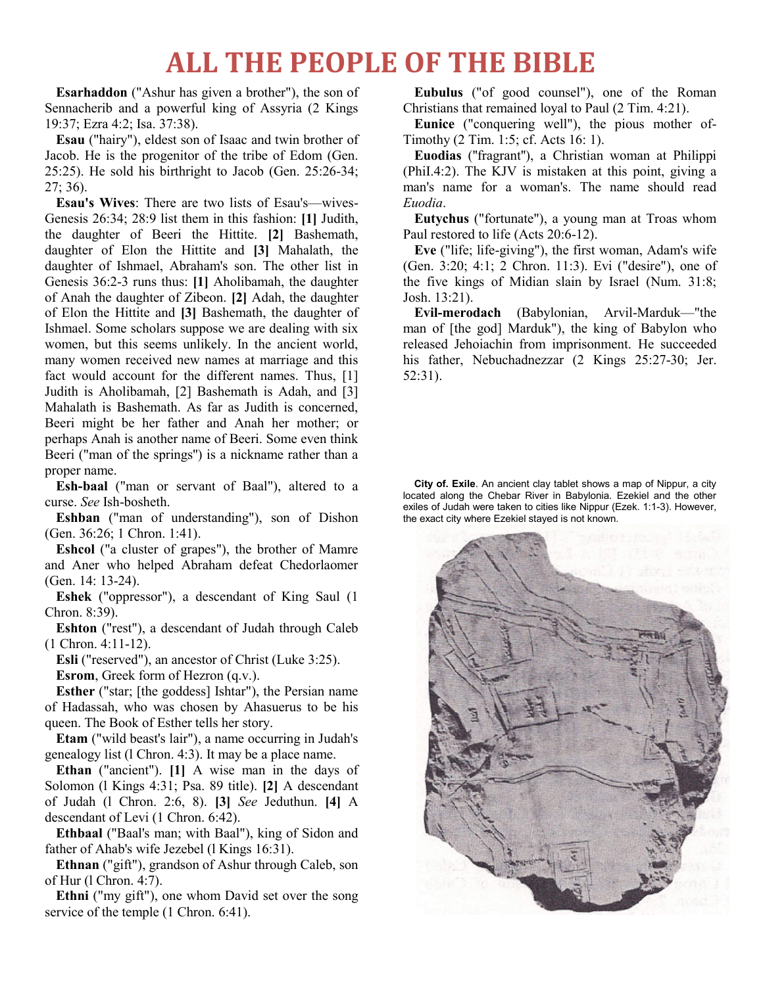**Esarhaddon** ("Ashur has given a brother"), the son of Sennacherib and a powerful king of Assyria (2 Kings 19:37; Ezra 4:2; Isa. 37:38).

**Esau** ("hairy"), eldest son of Isaac and twin brother of Jacob. He is the progenitor of the tribe of Edom (Gen. 25:25). He sold his birthright to Jacob (Gen. 25:26-34; 27; 36).

**Esau's Wives**: There are two lists of Esau's—wives-Genesis 26:34; 28:9 list them in this fashion: **[1]** Judith, the daughter of Beeri the Hittite. **[2]** Bashemath, daughter of Elon the Hittite and **[3]** Mahalath, the daughter of Ishmael, Abraham's son. The other list in Genesis 36:2-3 runs thus: **[1]** Aholibamah, the daughter of Anah the daughter of Zibeon. **[2]** Adah, the daughter of Elon the Hittite and **[3]** Bashemath, the daughter of Ishmael. Some scholars suppose we are dealing with six women, but this seems unlikely. In the ancient world, many women received new names at marriage and this fact would account for the different names. Thus, [1] Judith is Aholibamah, [2] Bashemath is Adah, and [3] Mahalath is Bashemath. As far as Judith is concerned, Beeri might be her father and Anah her mother; or perhaps Anah is another name of Beeri. Some even think Beeri ("man of the springs'') is a nickname rather than a proper name.

**Esh-baal** ("man or servant of Baal"), altered to a curse. *See* Ish-bosheth.

**Eshban** ("man of understanding"), son of Dishon (Gen. 36:26; 1 Chron. 1:41).

**Eshcol** ("a cluster of grapes"), the brother of Mamre and Aner who helped Abraham defeat Chedorlaomer (Gen. 14: 13-24).

**Eshek** ("oppressor"), a descendant of King Saul (1 Chron. 8:39).

**Eshton** ("rest"), a descendant of Judah through Caleb (1 Chron. 4:11-12).

**Esli** ("reserved"), an ancestor of Christ (Luke 3:25).

**Esrom**, Greek form of Hezron (q.v.).

**Esther** ("star; [the goddess] Ishtar"), the Persian name of Hadassah, who was chosen by Ahasuerus to be his queen. The Book of Esther tells her story.

**Etam** ("wild beast's lair"), a name occurring in Judah's genealogy list (l Chron. 4:3). It may be a place name.

**Ethan** ("ancient"). **[1]** A wise man in the days of Solomon (l Kings 4:31; Psa. 89 title). **[2]** A descendant of Judah (l Chron. 2:6, 8). **[3]** *See* Jeduthun. **[4]** A descendant of Levi (1 Chron. 6:42).

**Ethbaal** ("Baal's man; with Baal"), king of Sidon and father of Ahab's wife Jezebel (l Kings 16:31).

**Ethnan** ("gift"), grandson of Ashur through Caleb, son of Hur (l Chron. 4:7).

**Ethni** ("my gift"), one whom David set over the song service of the temple  $(1 \text{ Chron. } 6:41)$ .

**Eubulus** ("of good counsel"), one of the Roman Christians that remained loyal to Paul (2 Tim. 4:21).

**Eunice** ("conquering well"), the pious mother of-Timothy (2 Tim. 1:5; cf. Acts 16: 1).

**Euodias** (''fragrant''), a Christian woman at Philippi (PhiI.4:2). The KJV is mistaken at this point, giving a man's name for a woman's. The name should read *Euodia*.

**Eutychus** ("fortunate"), a young man at Troas whom Paul restored to life (Acts 20:6-12).

**Eve** ("life; life-giving"), the first woman, Adam's wife (Gen. 3:20; 4:1; 2 Chron. 11:3). Evi ("desire"), one of the five kings of Midian slain by Israel (Num. 31:8; Josh. 13:21).

**Evil-merodach** (Babylonian, Arvil-Marduk—"the man of [the god] Marduk"), the king of Babylon who released Jehoiachin from imprisonment. He succeeded his father, Nebuchadnezzar (2 Kings 25:27-30; Jer. 52:31).

**City of. Exile**. An ancient clay tablet shows a map of Nippur, a city located along the Chebar River in Babylonia. Ezekiel and the other exiles of Judah were taken to cities like Nippur (Ezek. 1:1-3). However, the exact city where Ezekiel stayed is not known.